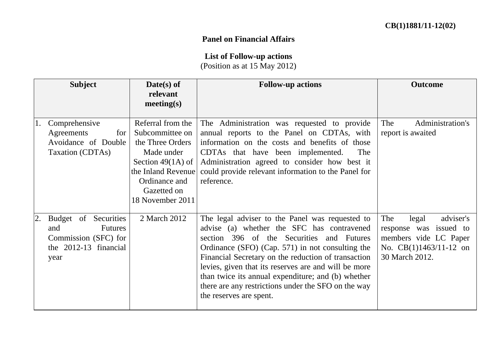## **Panel on Financial Affairs**

## **List of Follow-up actions**

(Position as at 15 May 2012)

|    | <b>Subject</b>                                                                                         | $Date(s)$ of                                                                                                                                                            | <b>Follow-up actions</b>                                                                                                                                                                                                                                                                                                                                                                                                                              | <b>Outcome</b>                                                                                                             |
|----|--------------------------------------------------------------------------------------------------------|-------------------------------------------------------------------------------------------------------------------------------------------------------------------------|-------------------------------------------------------------------------------------------------------------------------------------------------------------------------------------------------------------------------------------------------------------------------------------------------------------------------------------------------------------------------------------------------------------------------------------------------------|----------------------------------------------------------------------------------------------------------------------------|
|    |                                                                                                        | relevant<br>meeting(s)                                                                                                                                                  |                                                                                                                                                                                                                                                                                                                                                                                                                                                       |                                                                                                                            |
| 1. | Comprehensive<br>Agreements<br>for<br>Avoidance of Double<br>Taxation (CDTAs)                          | Referral from the<br>Subcommittee on<br>the Three Orders<br>Made under<br>Section $49(1A)$ of<br>the Inland Revenue<br>Ordinance and<br>Gazetted on<br>18 November 2011 | The Administration was requested to provide<br>annual reports to the Panel on CDTAs, with<br>information on the costs and benefits of those<br>The<br>CDTAs that have been implemented.<br>Administration agreed to consider how best it<br>could provide relevant information to the Panel for<br>reference.                                                                                                                                         | Administration's<br>The<br>report is awaited                                                                               |
| 2. | Budget of Securities<br><b>Futures</b><br>and<br>Commission (SFC) for<br>the 2012-13 financial<br>year | 2 March 2012                                                                                                                                                            | The legal adviser to the Panel was requested to<br>advise (a) whether the SFC has contravened<br>section 396 of the Securities and Futures<br>Ordinance (SFO) (Cap. 571) in not consulting the<br>Financial Secretary on the reduction of transaction<br>levies, given that its reserves are and will be more<br>than twice its annual expenditure; and (b) whether<br>there are any restrictions under the SFO on the way<br>the reserves are spent. | The<br>adviser's<br>legal<br>response was issued to<br>members vide LC Paper<br>No. $CB(1)1463/11-12$ on<br>30 March 2012. |